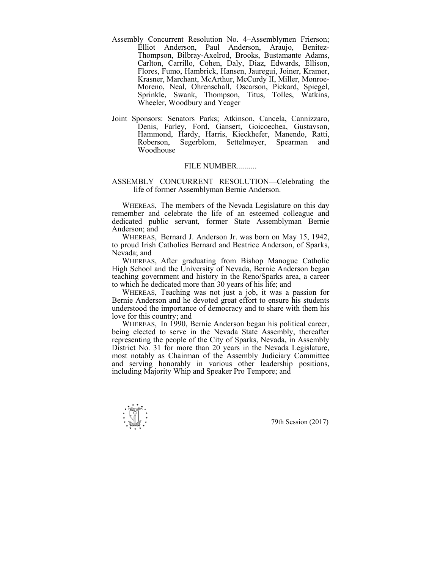- Assembly Concurrent Resolution No. 4–Assemblymen Frierson; Elliot Anderson, Paul Anderson, Araujo, Benitez-Thompson, Bilbray-Axelrod, Brooks, Bustamante Adams, Carlton, Carrillo, Cohen, Daly, Diaz, Edwards, Ellison, Flores, Fumo, Hambrick, Hansen, Jauregui, Joiner, Kramer, Krasner, Marchant, McArthur, McCurdy II, Miller, Monroe-Moreno, Neal, Ohrenschall, Oscarson, Pickard, Spiegel, Sprinkle, Swank, Thompson, Titus, Tolles, Watkins, Wheeler, Woodbury and Yeager
- Joint Sponsors: Senators Parks; Atkinson, Cancela, Cannizzaro, Denis, Farley, Ford, Gansert, Goicoechea, Gustavson, Hammond, Hardy, Harris, Kieckhefer, Manendo, Ratti, Roberson, Segerblom, Settelmeyer, Spearman and Woodhouse

## FILE NUMBER..........

## ASSEMBLY CONCURRENT RESOLUTION—Celebrating the life of former Assemblyman Bernie Anderson.

 WHEREAS, The members of the Nevada Legislature on this day remember and celebrate the life of an esteemed colleague and dedicated public servant, former State Assemblyman Bernie Anderson; and

 WHEREAS, Bernard J. Anderson Jr. was born on May 15, 1942, to proud Irish Catholics Bernard and Beatrice Anderson, of Sparks, Nevada; and

 WHEREAS, After graduating from Bishop Manogue Catholic High School and the University of Nevada, Bernie Anderson began teaching government and history in the Reno/Sparks area, a career to which he dedicated more than 30 years of his life; and

 WHEREAS, Teaching was not just a job, it was a passion for Bernie Anderson and he devoted great effort to ensure his students understood the importance of democracy and to share with them his love for this country; and

 WHEREAS, In 1990, Bernie Anderson began his political career, being elected to serve in the Nevada State Assembly, thereafter representing the people of the City of Sparks, Nevada, in Assembly District No. 31 for more than 20 years in the Nevada Legislature, most notably as Chairman of the Assembly Judiciary Committee and serving honorably in various other leadership positions, including Majority Whip and Speaker Pro Tempore; and

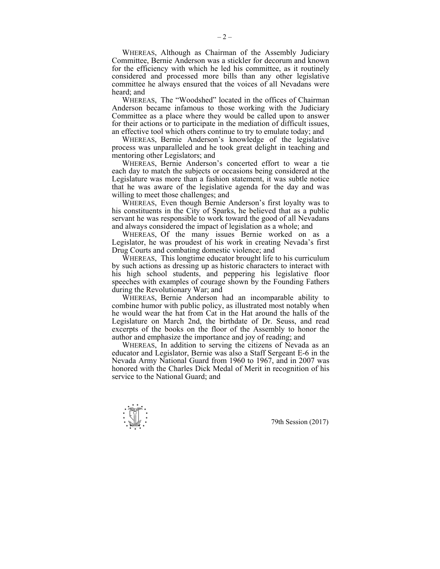WHEREAS, Although as Chairman of the Assembly Judiciary Committee, Bernie Anderson was a stickler for decorum and known for the efficiency with which he led his committee, as it routinely considered and processed more bills than any other legislative committee he always ensured that the voices of all Nevadans were heard; and

 WHEREAS, The "Woodshed" located in the offices of Chairman Anderson became infamous to those working with the Judiciary Committee as a place where they would be called upon to answer for their actions or to participate in the mediation of difficult issues, an effective tool which others continue to try to emulate today; and

 WHEREAS, Bernie Anderson's knowledge of the legislative process was unparalleled and he took great delight in teaching and mentoring other Legislators; and

 WHEREAS, Bernie Anderson's concerted effort to wear a tie each day to match the subjects or occasions being considered at the Legislature was more than a fashion statement, it was subtle notice that he was aware of the legislative agenda for the day and was willing to meet those challenges; and

 WHEREAS, Even though Bernie Anderson's first loyalty was to his constituents in the City of Sparks, he believed that as a public servant he was responsible to work toward the good of all Nevadans and always considered the impact of legislation as a whole; and

 WHEREAS, Of the many issues Bernie worked on as a Legislator, he was proudest of his work in creating Nevada's first Drug Courts and combating domestic violence; and

 WHEREAS, This longtime educator brought life to his curriculum by such actions as dressing up as historic characters to interact with his high school students, and peppering his legislative floor speeches with examples of courage shown by the Founding Fathers during the Revolutionary War; and

 WHEREAS, Bernie Anderson had an incomparable ability to combine humor with public policy, as illustrated most notably when he would wear the hat from Cat in the Hat around the halls of the Legislature on March 2nd, the birthdate of Dr. Seuss, and read excerpts of the books on the floor of the Assembly to honor the author and emphasize the importance and joy of reading; and

 WHEREAS, In addition to serving the citizens of Nevada as an educator and Legislator, Bernie was also a Staff Sergeant E-6 in the Nevada Army National Guard from 1960 to 1967, and in 2007 was honored with the Charles Dick Medal of Merit in recognition of his service to the National Guard; and